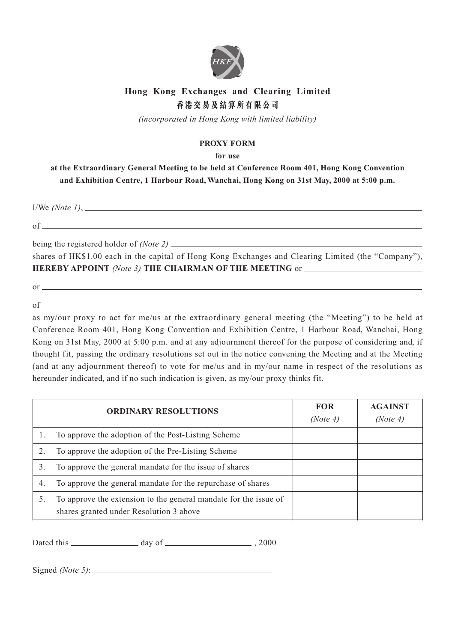

## **Hong Kong Exchanges and Clearing Limited 香港交易及結算所有限公司**

*(incorporated in Hong Kong with limited liability)*

## **PROXY FORM**

**for use**

**at the Extraordinary General Meeting to be held at Conference Room 401, Hong Kong Convention and Exhibition Centre, 1 Harbour Road, Wanchai, Hong Kong on 31st May, 2000 at 5:00 p.m.**

I/We *(Note 1)*,

of

being the registered holder of *(Note 2)*

shares of HK\$1.00 each in the capital of Hong Kong Exchanges and Clearing Limited (the "Company"), **HEREBY APPOINT** *(Note 3)* **THE CHAIRMAN OF THE MEETING** or

or

of

as my/our proxy to act for me/us at the extraordinary general meeting (the "Meeting") to be held at Conference Room 401, Hong Kong Convention and Exhibition Centre, 1 Harbour Road, Wanchai, Hong Kong on 31st May, 2000 at 5:00 p.m. and at any adjournment thereof for the purpose of considering and, if thought fit, passing the ordinary resolutions set out in the notice convening the Meeting and at the Meeting (and at any adjournment thereof) to vote for me/us and in my/our name in respect of the resolutions as hereunder indicated, and if no such indication is given, as my/our proxy thinks fit.

|    | <b>ORDINARY RESOLUTIONS</b>                                                                                 | <b>FOR</b><br>(Note 4) | <b>AGAINST</b><br>(Note 4) |
|----|-------------------------------------------------------------------------------------------------------------|------------------------|----------------------------|
|    | To approve the adoption of the Post-Listing Scheme                                                          |                        |                            |
|    | To approve the adoption of the Pre-Listing Scheme                                                           |                        |                            |
| 3. | To approve the general mandate for the issue of shares                                                      |                        |                            |
| 4. | To approve the general mandate for the repurchase of shares                                                 |                        |                            |
|    | To approve the extension to the general mandate for the issue of<br>shares granted under Resolution 3 above |                        |                            |

Dated this day of , 2000

Signed *(Note 5)*: